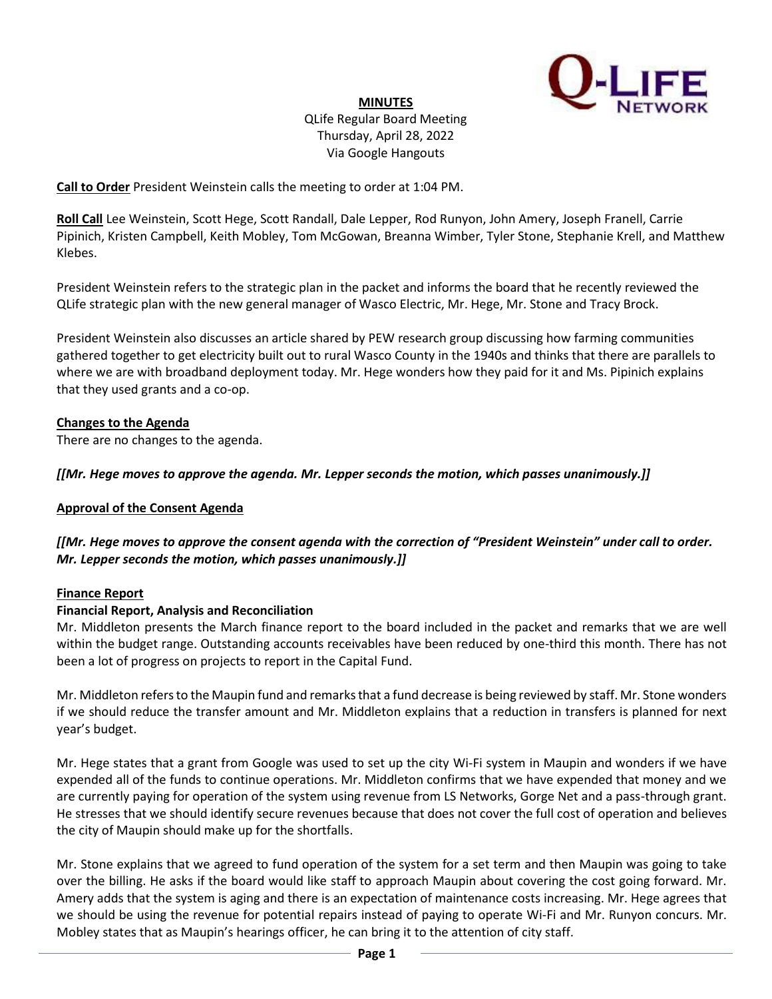

# **MINUTES**

QLife Regular Board Meeting Thursday, April 28, 2022 Via Google Hangouts

**Call to Order** President Weinstein calls the meeting to order at 1:04 PM.

**Roll Call** Lee Weinstein, Scott Hege, Scott Randall, Dale Lepper, Rod Runyon, John Amery, Joseph Franell, Carrie Pipinich, Kristen Campbell, Keith Mobley, Tom McGowan, Breanna Wimber, Tyler Stone, Stephanie Krell, and Matthew Klebes.

President Weinstein refers to the strategic plan in the packet and informs the board that he recently reviewed the QLife strategic plan with the new general manager of Wasco Electric, Mr. Hege, Mr. Stone and Tracy Brock.

President Weinstein also discusses an article shared by PEW research group discussing how farming communities gathered together to get electricity built out to rural Wasco County in the 1940s and thinks that there are parallels to where we are with broadband deployment today. Mr. Hege wonders how they paid for it and Ms. Pipinich explains that they used grants and a co-op.

# **Changes to the Agenda**

There are no changes to the agenda.

*[[Mr. Hege moves to approve the agenda. Mr. Lepper seconds the motion, which passes unanimously.]]*

### **Approval of the Consent Agenda**

*[[Mr. Hege moves to approve the consent agenda with the correction of "President Weinstein" under call to order. Mr. Lepper seconds the motion, which passes unanimously.]]*

### **Finance Report**

### **Financial Report, Analysis and Reconciliation**

Mr. Middleton presents the March finance report to the board included in the packet and remarks that we are well within the budget range. Outstanding accounts receivables have been reduced by one-third this month. There has not been a lot of progress on projects to report in the Capital Fund.

Mr. Middleton refers to the Maupin fund and remarks that a fund decrease is being reviewed by staff. Mr. Stone wonders if we should reduce the transfer amount and Mr. Middleton explains that a reduction in transfers is planned for next year's budget.

Mr. Hege states that a grant from Google was used to set up the city Wi-Fi system in Maupin and wonders if we have expended all of the funds to continue operations. Mr. Middleton confirms that we have expended that money and we are currently paying for operation of the system using revenue from LS Networks, Gorge Net and a pass-through grant. He stresses that we should identify secure revenues because that does not cover the full cost of operation and believes the city of Maupin should make up for the shortfalls.

Mr. Stone explains that we agreed to fund operation of the system for a set term and then Maupin was going to take over the billing. He asks if the board would like staff to approach Maupin about covering the cost going forward. Mr. Amery adds that the system is aging and there is an expectation of maintenance costs increasing. Mr. Hege agrees that we should be using the revenue for potential repairs instead of paying to operate Wi-Fi and Mr. Runyon concurs. Mr. Mobley states that as Maupin's hearings officer, he can bring it to the attention of city staff.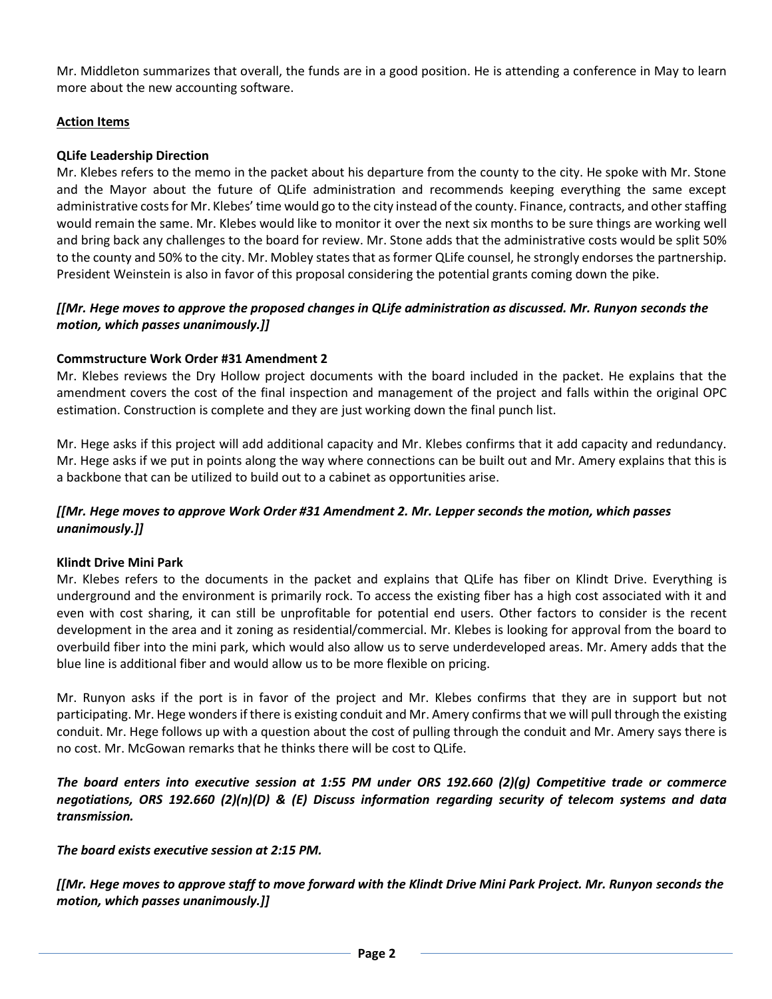Mr. Middleton summarizes that overall, the funds are in a good position. He is attending a conference in May to learn more about the new accounting software.

# **Action Items**

### **QLife Leadership Direction**

Mr. Klebes refers to the memo in the packet about his departure from the county to the city. He spoke with Mr. Stone and the Mayor about the future of QLife administration and recommends keeping everything the same except administrative costs for Mr. Klebes' time would go to the city instead of the county. Finance, contracts, and other staffing would remain the same. Mr. Klebes would like to monitor it over the next six months to be sure things are working well and bring back any challenges to the board for review. Mr. Stone adds that the administrative costs would be split 50% to the county and 50% to the city. Mr. Mobley states that as former QLife counsel, he strongly endorses the partnership. President Weinstein is also in favor of this proposal considering the potential grants coming down the pike.

## *[[Mr. Hege moves to approve the proposed changes in QLife administration as discussed. Mr. Runyon seconds the motion, which passes unanimously.]]*

### **Commstructure Work Order #31 Amendment 2**

Mr. Klebes reviews the Dry Hollow project documents with the board included in the packet. He explains that the amendment covers the cost of the final inspection and management of the project and falls within the original OPC estimation. Construction is complete and they are just working down the final punch list.

Mr. Hege asks if this project will add additional capacity and Mr. Klebes confirms that it add capacity and redundancy. Mr. Hege asks if we put in points along the way where connections can be built out and Mr. Amery explains that this is a backbone that can be utilized to build out to a cabinet as opportunities arise.

### *[[Mr. Hege moves to approve Work Order #31 Amendment 2. Mr. Lepper seconds the motion, which passes unanimously.]]*

### **Klindt Drive Mini Park**

Mr. Klebes refers to the documents in the packet and explains that QLife has fiber on Klindt Drive. Everything is underground and the environment is primarily rock. To access the existing fiber has a high cost associated with it and even with cost sharing, it can still be unprofitable for potential end users. Other factors to consider is the recent development in the area and it zoning as residential/commercial. Mr. Klebes is looking for approval from the board to overbuild fiber into the mini park, which would also allow us to serve underdeveloped areas. Mr. Amery adds that the blue line is additional fiber and would allow us to be more flexible on pricing.

Mr. Runyon asks if the port is in favor of the project and Mr. Klebes confirms that they are in support but not participating. Mr. Hege wonders if there is existing conduit and Mr. Amery confirms that we will pull through the existing conduit. Mr. Hege follows up with a question about the cost of pulling through the conduit and Mr. Amery says there is no cost. Mr. McGowan remarks that he thinks there will be cost to QLife.

*The board enters into executive session at 1:55 PM under ORS 192.660 (2)(g) Competitive trade or commerce negotiations, ORS 192.660 (2)(n)(D) & (E) Discuss information regarding security of telecom systems and data transmission.*

*The board exists executive session at 2:15 PM.*

*[[Mr. Hege moves to approve staff to move forward with the Klindt Drive Mini Park Project. Mr. Runyon seconds the motion, which passes unanimously.]]*